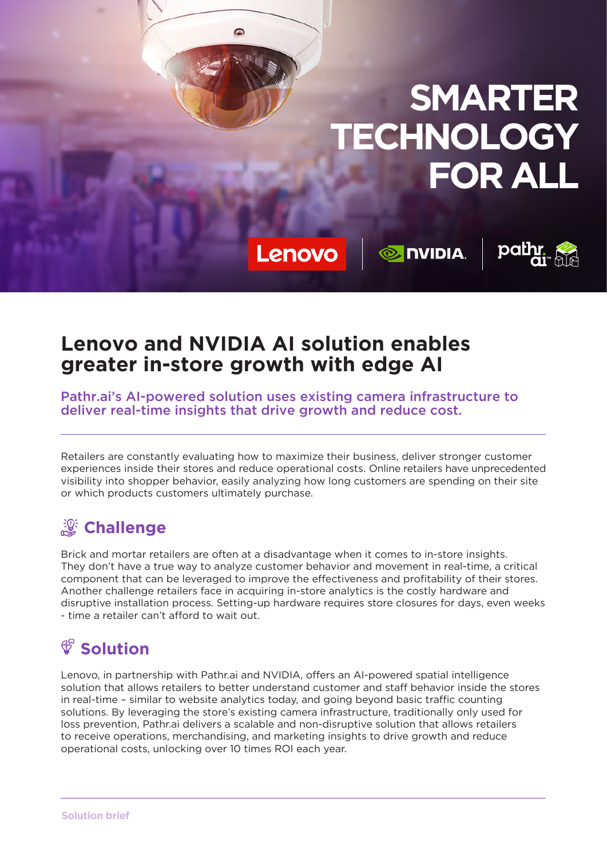

Lenovo

**O NIDIA** 



#### **Lenovo and NVIDIA AI solution enables greater in-store growth with edge AI**

 $\bullet$ 

Pathr.ai's AI-powered solution uses existing camera infrastructure to deliver real-time insights that drive growth and reduce cost.

Retailers are constantly evaluating how to maximize their business, deliver stronger customer experiences inside their stores and reduce operational costs. Online retailers have unprecedented visibility into shopper behavior, easily analyzing how long customers are spending on their site or which products customers ultimately purchase.

## **Challenge**

Brick and mortar retailers are often at a disadvantage when it comes to in-store insights. They don't have a true way to analyze customer behavior and movement in real-time, a critical component that can be leveraged to improve the effectiveness and profitability of their stores. Another challenge retailers face in acquiring in-store analytics is the costly hardware and disruptive installation process. Setting-up hardware requires store closures for days, even weeks - time a retailer can't afford to wait out.

# **Solution**

Lenovo, in partnership with Pathr.ai and NVIDIA, offers an AI-powered spatial intelligence solution that allows retailers to better understand customer and staff behavior inside the stores in real-time – similar to website analytics today, and going beyond basic traffic counting solutions. By leveraging the store's existing camera infrastructure, traditionally only used for loss prevention, Pathr.ai delivers a scalable and non-disruptive solution that allows retailers to receive operations, merchandising, and marketing insights to drive growth and reduce operational costs, unlocking over 10 times ROI each year.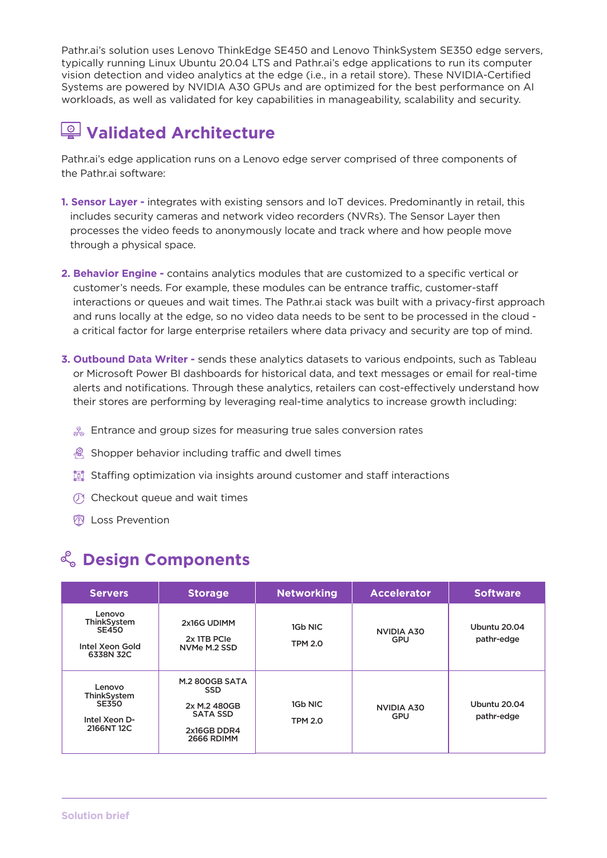Pathr.ai's solution uses Lenovo ThinkEdge SE450 and Lenovo ThinkSystem SE350 edge servers, typically running Linux Ubuntu 20.04 LTS and Pathr.ai's edge applications to run its computer vision detection and video analytics at the edge (i.e., in a retail store). These NVIDIA-Certified Systems are powered by NVIDIA A30 GPUs and are optimized for the best performance on AI workloads, as well as validated for key capabilities in manageability, scalability and security.

## **Validated Architecture**

Pathr.ai's edge application runs on a Lenovo edge server comprised of three components of the Pathr.ai software:

- **1. Sensor Layer -** integrates with existing sensors and IoT devices. Predominantly in retail, this includes security cameras and network video recorders (NVRs). The Sensor Layer then processes the video feeds to anonymously locate and track where and how people move through a physical space.
- **2. Behavior Engine -** contains analytics modules that are customized to a specific vertical or customer's needs. For example, these modules can be entrance traffic, customer-staff interactions or queues and wait times. The Pathr.ai stack was built with a privacy-first approach and runs locally at the edge, so no video data needs to be sent to be processed in the cloud a critical factor for large enterprise retailers where data privacy and security are top of mind.
- **3. Outbound Data Writer** sends these analytics datasets to various endpoints, such as Tableau or Microsoft Power BI dashboards for historical data, and text messages or email for real-time alerts and notifications. Through these analytics, retailers can cost-effectively understand how their stores are performing by leveraging real-time analytics to increase growth including:
	- $\%$  Entrance and group sizes for measuring true sales conversion rates
	- **Shopper behavior including traffic and dwell times**
	- **I Staffing optimization via insights around customer and staff interactions**
	- $\circled{C}$  Checkout queue and wait times
	- **M** Loss Prevention

#### **Design Components**

| <b>Servers</b>                                                        | <b>Storage</b>                                                                                             | <b>Networking</b>         | <b>Accelerator</b>              | <b>Software</b>            |
|-----------------------------------------------------------------------|------------------------------------------------------------------------------------------------------------|---------------------------|---------------------------------|----------------------------|
| Lenovo<br>ThinkSystem<br><b>SE450</b><br>Intel Xeon Gold<br>6338N 32C | 2x16G UDIMM<br>2x 1TB PCIe<br>NVMe M.2 SSD                                                                 | 1Gb NIC<br><b>TPM 2.0</b> | <b>NVIDIA A30</b><br><b>GPU</b> | Ubuntu 20.04<br>pathr-edge |
| Lenovo<br>ThinkSystem<br><b>SE350</b><br>Intel Xeon D-<br>2166NT 12C  | <b>M.2 800GB SATA</b><br><b>SSD</b><br>2x M.2 480GB<br><b>SATA SSD</b><br>2x16GB DDR4<br><b>2666 RDIMM</b> | 1Gb NIC<br><b>TPM 2.0</b> | <b>NVIDIA A30</b><br><b>GPU</b> | Ubuntu 20.04<br>pathr-edge |